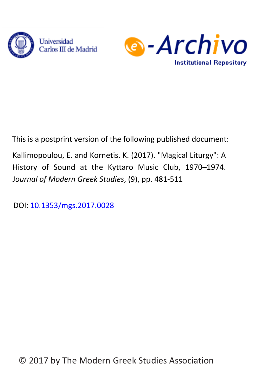



This is a postprint version of the following published document:

Kallimopoulou, E. and Kornetis. K. (2017). "Magical Liturgy": A History of Sound at the Kyttaro Music Club, 1970–1974. J*ournal of Modern Greek Studies*, (9), pp. 481-511

DOI: [10.1353/mgs.2017.0028](https://doi.org/10.1353/mgs.2017.0028)

© 2017 by The Modern Greek Studies Association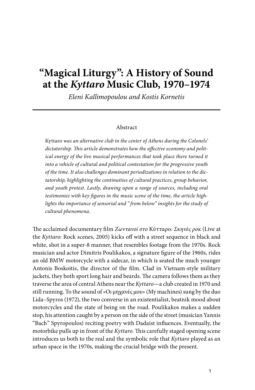# **"Magical Liturgy": A History of Sound at the** *Kyttaro* **Music Club, 1970–1974**

*Eleni Kallimopoulou and Kostis Kornetis*

# Abstract

Kyttaro *was an alternative club in the center of Athens during the Colonels' dictatorship. This article demonstrates how the affective economy and political energy of the live musical performances that took place there turned it into a vehicle of cultural and political contestation for the progressive youth of the time. It also challenges dominant periodizations in relation to the dictatorship, highlighting the continuities of cultural practices, group behavior, and youth protest. Lastly, drawing upon a range of sources, including oral testimonies with key figures in the music scene of the time, the article high*lights the importance of sensorial and "from below" insights for the study of *cultural phenomena.*

The acclaimed documentary film *Ζωντανοί στο* Κύτταρο*: Σκηνές ροκ* (Live at the *Kyttaro*: Rock scenes, 2005) kicks off with a street sequence in black and white, shot in a super-8 manner, that resembles footage from the 1970s. Rock musician and actor Dimitris Poulikakos, a signature figure of the 1960s, rides an old BMW motorcycle with a sidecar, in which is seated the much younger Antonis Boskoitis, the director of the film. Clad in Vietnam-style military jackets, they both sport long hair and beards. The camera follows them as they traverse the area of central Athens near the *Kyttaro*—a club created in 1970 and still running. To the sound of «Οι μηχανές μου» (My machines) sung by the duo Lida–Spyros (1972), the two converse in an existentialist, beatnik mood about motorcycles and the state of being on the road. Poulikakos makes a sudden stop, his attention caught by a person on the side of the street (musician Yannis "Bach" Spyropoulos) reciting poetry with Dadaist influences. Eventually, the motorbike pulls up in front of the *Kyttaro*. This carefully staged opening scene introduces us both to the real and the symbolic role that *Kyttaro* played as an urban space in the 1970s, making the crucial bridge with the present.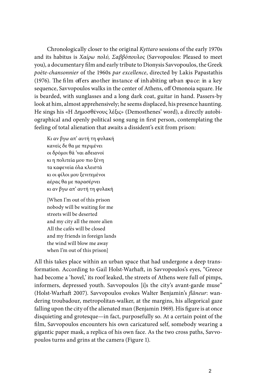Chronologically closer to the original *Kyttaro* sessions of the early 1970s and its habitus is *Χαίρω πολύ, Σαββόπουλος* (Savvopoulos: Pleased to meet you), a documentary film and early tribute to Dionysis Savvopoulos, the Greek *poète-chansonnier* of the 1960s *par excellence*, directed by Lakis Papastathis (1976). The fi lm offers another instance of inhabiting urban space: in a key sequence, Savvopoulos walks in the center of Athens, off Omonoia square. He is bearded, with sunglasses and a long dark coat, guitar in hand. Passers-by look at him, almost apprehensively; he seems displaced, his presence haunting. He sings his «H Δημοσθένους λέξις» (Demosthenes' word), a directly autobiographical and openly political song sung in first person, contemplating the feeling of total alienation that awaits a dissident's exit from prison:

Κι αν βγω απ' αυτή τη φυλακή κανείς δε θα με περιμένει οι δρόμοι θά 'ναι αδειανοί κι η πολιτεία μου πιο ξένη τα καφενεία όλα κλειστά κι οι φίλοι μου ξενιτεμένοι αέρας θα με παρασέρνει κι αν βγω απ' αυτή τη φυλακή

[When I'm out of this prison nobody will be waiting for me streets will be deserted and my city all the more alien All the cafés will be closed and my friends in foreign lands the wind will blow me away when I'm out of this prison]

All this takes place within an urban space that had undergone a deep transformation. According to Gail Holst-Warhaft, in Savvopoulos's eyes, "Greece had become a 'hovel,' its roof leaked, the streets of Athens were full of pimps, informers, depressed youth. Savvopoulos [i]s the city's avant-garde muse" (Holst-Warhaft 2007). Savvopoulos evokes Walter Benjamin's *flâneur*: wandering troubadour, metropolitan-walker, at the margins, his allegorical gaze falling upon the city of the alienated man (Benjamin 1969). His figure is at once disquieting and grotesque—in fact, purposefully so. At a certain point of the film, Savvopoulos encounters his own caricatured self, somebody wearing a gigantic paper mask, a replica of his own face. As the two cross paths, Savvopoulos turns and grins at the camera (Figure 1).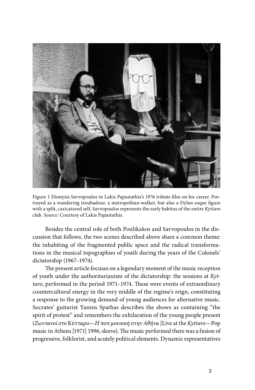

Figure 1 Dionysis Savvopoulos in Lakis Papastathis's 1976 tribute film on his career. Portrayed as a wandering troubadour, a metropolitan-walker, but also a Dylan-esque figure with a split, caricatured self, Savvopoulos represents the early habitus of the entire *Kyttaro* club. *Source*: Courtesy of Lakis Papastathis.

Besides the central role of both Poulikakos and Savvopoulos in the discussion that follows, the two scenes described above share a common theme: the inhabiting of the fragmented public space and the radical transformations in the musical topographies of youth during the years of the Colonels' dictatorship (1967–1974).

The present article focuses on a legendary moment of the music reception of youth under the authoritarianism of the dictatorship: the sessions at *Kyttaro*, performed in the period 1971–1974. These were events of extraordinary countercultural energy in the very middle of the regime's reign, constituting a response to the growing demand of young audiences for alternative music. Socrates' guitarist Yannis Spathas describes the shows as containing "the spirit of protest" and remembers the exhilaration of the young people present (*Ζωντανοί στο* Κύτταρο*—Η ποπ μουσική στην Αθήνα* [Live at the *Kyttaro*—Pop music in Athens [1971] 1996, sleeve). The music performed there was a fusion of progressive, folklorist, and acutely political elements. Dynamic representatives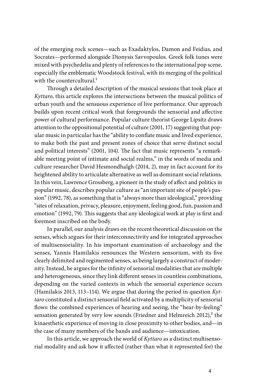of the emerging rock scenes—such as Exadaktylos, Damon and Feidias, and Socrates—performed alongside Dionysis Savvopoulos. Greek folk tunes were mixed with psychedelia and plenty of references to the international pop scene, especially the emblematic Woodstock festival, with its merging of the political with the countercultural.<sup>1</sup>

Through a detailed description of the musical sessions that took place at *Kyttaro*, this article explores the intersections between the musical politics of urban youth and the sensuous experience of live performance. Our approach builds upon recent critical work that foregrounds the sensorial and affective power of cultural performance. Popular culture theorist George Lipsitz draws attention to the oppositional potential of culture (2001, 17) suggesting that popular music in particular has the "ability to conflate music and lived experience, to make both the past and present zones of choice that serve distinct social and political interests" (2001, 104). The fact that music represents "a remarkable meeting point of intimate and social realms," in the words of media and culture researcher David Hesmondhalgh (2014, 2), may in fact account for its heightened ability to articulate alternative as well as dominant social relations. In this vein, Lawrence Grossberg, a pioneer in the study of affect and politics in popular music, describes popular culture as "an important site of people's passion" (1992, 78), as something that is "always more than ideological," providing "sites of relaxation, privacy, pleasure, enjoyment, feeling good, fun, passion and emotion" (1992, 79). This suggests that any ideological work at play is first and foremost inscribed on the body.

In parallel, our analysis draws on the recent theoretical discussion on the senses, which argues for their interconnectivity and for integrated approaches of multisensoriality. In his important examination of archaeology and the senses, Yannis Hamilakis renounces the Western sensorium, with its five clearly delimited and regimented senses, as being largely a construct of modernity. Instead, he argues for the infinity of sensorial modalities that are multiple and heterogeneous, since they link different senses in countless combinations, depending on the varied contexts in which the sensorial experience occurs (Hamilakis 2013, 113–114). We argue that during the period in question *Kyttaro* constituted a distinct sensorial field activated by a multiplicity of sensorial flows: the combined experiences of hearing and seeing, the "hear-by-feeling" sensation generated by very low sounds (Friedner and Helmreich 2012),<sup>2</sup> the kinaesthetic experience of moving in close proximity to other bodies, and—in the case of many members of the bands and audience—intoxication.

In this article, we approach the world of *Kyttaro* as a distinct multisensorial modality and ask how it affected (rather than what it represented for) the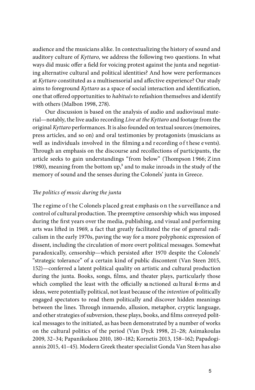audience and the musicians alike. In contextualizing the history of sound and auditory culture of *Kyttaro*, we address the following two questions. In what ways did music offer a field for voicing protest against the junta and negotiating alternative cultural and political identities? And how were performances at *Kyttaro* constituted as a multisensorial and affective experience? Our study aims to foreground *Kyttaro* as a space of social interaction and identification, one that offered opportunities to *habitués* to refashion themselves and identify with others (Malbon 1998, 278).

Our discussion is based on the analysis of audio and audiovisual material—notably, the live audio recording *Live at the Kyttaro* and footage from the original *Kyttaro* performances. It is also founded on textual sources (memoires, press articles, and so on) and oral testimonies by protagonists (musicians as well as individuals involved in the filming and recording of these events). Through an emphasis on the discourse and recollections of participants, the article seeks to gain understandings "from below" (Thompson 1966; Z inn 1980), meaning from the bottom  $up$ <sup>3</sup>, and to make inroads in the study of the memory of sound and the senses during the Colonels' junta in Greece.

# *The politics of music during the junta*

The r egime o f t he C olonels p laced g reat e mphasis o n t he s urveillance a nd control of cultural production. The preemptive censorship which was imposed during the first years over the media, publishing, and visual and performing arts was lifted in 1969, a fact that greatly facilitated the rise of general radicalism in the early 1970s, paving the way for a more polyphonic expression of dissent, including the circulation of more overt political messages. Somewhat paradoxically, censorship—which persisted after 1970 despite the Colonels' "strategic tolerance" of a certain kind of public discontent (Van Steen 2015, 152)—conferred a latent political quality on artistic and cultural production during the junta. Books, songs, films, and theater plays, particularly those which complied the least with the officially sanctioned cultural forms and ideas, were potentially political, not least because of the *intention* of politically engaged spectators to read them politically and discover hidden meanings between the lines. Through innuendo, allusion, metaphor, cryptic language, and other strategies of subversion, these plays, books, and films conveyed political messages to the initiated, as has been demonstrated by a number of works on the cultural politics of the period (Van Dyck 1998, 21–28; Asimakoulas 2009, 32–34; Papanikolaou 2010, 180–182; Kornetis 2013, 158–162; Papadogiannis 2015, 41–45). Modern Greek theater specialist Gonda Van Steen has also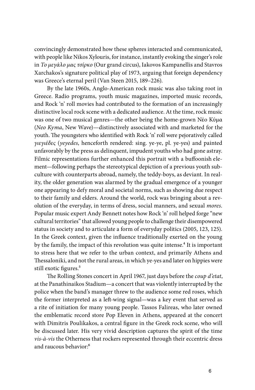convincingly demonstrated how these spheres interacted and communicated, with people like Nikos Xylouris, for instance, instantly evoking the singer's role in *Το μεγάλο μας τσίρκο* (Our grand circus), Iakovos Kampanellis and Stavros Xarchakos's signature political play of 1973, arguing that foreign dependency was Greece's eternal peril (Van Steen 2015, 189–226).

By the late 1960s, Anglo-American rock music was also taking root in Greece. Radio programs, youth music magazines, imported music records, and Rock 'n' roll movies had contributed to the formation of an increasingly distinctive local rock scene with a dedicated audience. At the time, rock music was one of two musical genres—the other being the home-grown Νέο Κύμα (*Neo Kyma*, New Wave)—distinctively associated with and marketed for the youth. The youngsters who identified with Rock 'n' roll were pejoratively called *γιεγιέδες* (*yeyedes*, henceforth rendered: sing. ye-ye, pl. ye-yes) and painted unfavorably by the press as delinquent, impudent youths who had gone astray. Filmic representations further enhanced this portrait with a buffoonish element—following perhaps the stereotypical depiction of a previous youth subculture with counterparts abroad, namely, the teddy-boys, as deviant. In reality, the older generation was alarmed by the gradual emergence of a younger one appearing to defy moral and societal norms, such as showing due respect to their family and elders. Around the world, rock was bringing about a revolution of the everyday, in terms of dress, social manners, and sexual *mores*. Popular music expert Andy Bennett notes how Rock 'n' roll helped forge "new cultural territories" that allowed young people to challenge their disempowered status in society and to articulate a form of everyday politics (2005, 123, 125). In the Greek context, given the influence traditionally exerted on the young by the family, the impact of this revolution was quite intense.<sup>4</sup> It is important to stress here that we refer to the urban context, and primarily Athens and Thessaloniki, and not the rural areas, in which ye-yes and later on hippies were still exotic figures.<sup>5</sup>

The Rolling Stones concert in April 1967, just days before the *coup d'etat*, at the Panathinaikos Stadium—a concert that was violently interrupted by the police when the band's manager threw to the audience some red roses, which the former interpreted as a left-wing signal—was a key event that served as a rite of initiation for many young people. Tassos Falireas, who later owned the emblematic record store Pop Eleven in Athens, appeared at the concert with Dimitris Poulikakos, a central figure in the Greek rock scene, who will be discussed later. His very vivid description captures the spirit of the time *vis-à-vis* the Otherness that rockers represented through their eccentric dress and raucous behavior:<sup>6</sup>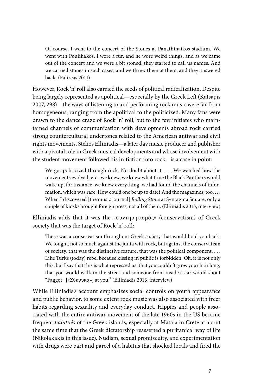Of course, I went to the concert of the Stones at Panathinaikos stadium. We went with Poulikakos. I wore a fur, and he wore weird things, and as we came out of the concert and we were a bit stoned, they started to call us names. And we carried stones in such cases, and we threw them at them, and they answered back. (Falireas 2011)

However, Rock 'n' roll also carried the seeds of political radicalization. Despite being largely represented as apolitical—especially by the Greek Left (Katsapis 2007, 298)—the ways of listening to and performing rock music were far from homogeneous, ranging from the apolitical to the politicized. Many fans were drawn to the dance craze of Rock 'n' roll, but to the few initiates who maintained channels of communication with developments abroad rock carried strong countercultural undertones related to the American antiwar and civil rights movements. Stelios Elliniadis—a later day music producer and publisher with a pivotal role in Greek musical developments and whose involvement with the student movement followed his initiation into rock—is a case in point:

We got politicized through rock. No doubt about it. . . . We watched how the movements evolved, etc.; we knew, we knew what time the Black Panthers would wake up, for instance, we knew everything, we had found the channels of information, which was rare. How could one be up to date? And the magazines, too. . . . When I discovered [the music journal] *Rolling Stone* at Syntagma Square, only a couple of kiosks brought foreign press, not all of them. (Elliniadis 2013, interview)

Elliniadis adds that it was the «συντηρητισμός» (conservatism) of Greek society that was the target of Rock 'n' roll:

There was a conservatism throughout Greek society that would hold you back. We fought, not so much against the junta with rock, but against the conservatism of society, that was the distinctive feature, that was the political component. . . . Like Turks (today) rebel because kissing in public is forbidden. Ok, it is not only this, but I say that this is what repressed us, that you couldn't grow your hair long, that you would walk in the street and someone from inside a car would shout "Faggot" [«Σύυυυκα»] at you.7 (Elliniadis 2013, interview)

While Elliniadis's account emphasizes social controls on youth appearance and public behavior, to some extent rock music was also associated with freer habits regarding sexuality and everyday conduct. Hippies and people associated with the entire antiwar movement of the late 1960s in the US became frequent *habitués* of the Greek islands, especially at Matala in Crete at about the same time that the Greek dictatorship reasserted a puritanical way of life (Nikolakakis in this issue). Nudism, sexual promiscuity, and experimentation with drugs were part and parcel of a habitus that shocked locals and fired the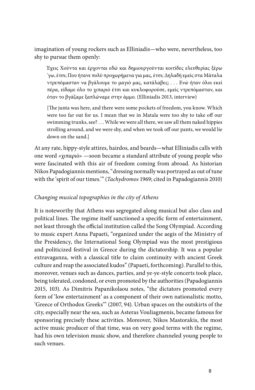imagination of young rockers such as Elliniadis—who were, nevertheless, too shy to pursue them openly:

Έχεις Χούντα και έρχονται εδώ και δημιουργούνται κοιτίδες ελευθερίας ξέρω 'γω, έτσι; Που ήτανε πολύ προχωρήμενα για μας, έτσι; Δηλαδή εμείς στα Μάταλα ντρεπόμασταν να βγάλουμε το μαγιό μας, κατάλαβες; . . . Ενώ ήταν όλοι εκεί πέρα, είδαμε όλο το χιπαριό έτσι και κυκλοφορούσε, εμείς ντρεπόμασταν, και όταν το βγάζαμε ξαπλώναμε στην άμμο. (Elliniadis 2013, interview)

[The junta was here, and there were some pockets of freedom, you know. Which were too far out for us. I mean that we in Matala were too shy to take off our swimming trunks, see? . . . While we were all there, we saw all them naked hippies strolling around, and we were shy, and when we took off our pants, we would lie down on the sand.]

At any rate, hippy-style attires, hairdos, and beards—what Elliniadis calls with one word «χιπαριό» —soon became a standard attribute of young people who were fascinated with this air of freedom coming from abroad. As historian Nikos Papadogiannis mentions, "dressing normally was portrayed as out of tune with the 'spirit of our times.'" (*Tachydromos* 1969; cited in Papadogiannis 2010)

# *Changing musical topographies in the city of Athens*

It is noteworthy that Athens was segregated along musical but also class and political lines. The regime itself sanctioned a specific form of entertainment, not least through the official institution called the Song Olympiad. According to music expert Anna Papaeti, "organized under the aegis of the Ministry of the Presidency, the International Song Olympiad was the most prestigious and politicized festival in Greece during the dictatorship. It was a popular extravaganza, with a classical title to claim continuity with ancient Greek culture and reap the associated kudos" (Papaeti, forthcoming). Parallel to this, moreover, venues such as dances, parties, and ye-ye-style concerts took place, being tolerated, condoned, or even promoted by the authorities (Papadogiannis 2015, 103). As Dimitris Papanikolaou notes, "the dictators promoted every form of 'low entertainment' as a component of their own nationalistic motto, 'Greece of Orthodox Greeks'" (2007, 94). Urban spaces on the outskirts of the city, especially near the sea, such as Asteras Vouliagmenis, became famous for sponsoring precisely these activities. Moreover, Nikos Mastorakis, the most active music producer of that time, was on very good terms with the regime, had his own television music show, and therefore channeled young people to such venues.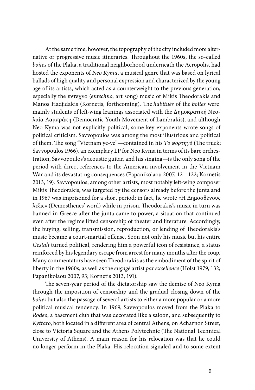At the same time, however, the topography of the city included more alternative or progressive music itineraries. Throughout the 1960s, the so-called *boîtes* of the Plaka, a traditional neighborhood underneath the Acropolis, had hosted the exponents of *Neo Kyma*, a musical genre that was based on lyrical ballads of high quality and personal expression and characterized by the young age of its artists, which acted as a counterweight to the previous generation, especially the έντεχνο (*entechno*, art song) music of Mikis Theodorakis and Manos Hadjidakis (Kornetis, forthcoming). The *habitués* of the *boîtes* were mainly students of left-wing leanings associated with the Δημοκρατική Νεολαία Λαμπράκη (Democratic Youth Movement of Lambrakis), and although Neo Kyma was not explicitly political, some key exponents wrote songs of political criticism. Savvopoulos was among the most illustrious and political of them. The song "Vietnam ye-ye"—contained in his *To φορτηγό* (The truck; Savvopoulos 1966), an exemplary LP for Neo Kyma in terms of its bare orchestration, Savvopoulos's acoustic guitar, and his singing—is the only song of the period with direct references to the American involvement in the Vietnam War and its devastating consequences (Papanikolaou 2007, 121–122; Kornetis 2013, 19). Savvopoulos, among other artists, most notably left-wing composer Mikis Theodorakis, was targeted by the censors already before the junta and in 1967 was imprisoned for a short period; in fact, he wrote «Η Δημοσθένους λέξις» (Demosthenes' word) while in prison. Theodorakis's music in turn was banned in Greece after the junta came to power, a situation that continued even after the regime lifted censorship of theater and literature. Accordingly, the buying, selling, transmission, reproduction, or lending of Theodorakis's music became a court-martial offense. Soon not only his music but his entire *Gestalt* turned political, rendering him a powerful icon of resistance, a status reinforced by his legendary escape from arrest for many months after the coup. Many commentators have seen Theodorakis as the embodiment of the spirit of liberty in the 1960s, as well as the *engagé* artist *par excellence* (Holst 1979, 132; Papanikolaou 2007, 93; Kornetis 2013, 191).

The seven-year period of the dictatorship saw the demise of Neo Kyma through the imposition of censorship and the gradual closing down of the *boîtes* but also the passage of several artists to either a more popular or a more political musical tendency. In 1969, Savvopoulos moved from the Plaka to *Rodeo*, a basement club that was decorated like a saloon, and subsequently to *Kyttaro*, both located in a different area of central Athens, on Acharnon Street, close to Victoria Square and the Athens Polytechnic (The National Technical University of Athens). A main reason for his relocation was that he could no longer perform in the Plaka. His relocation signaled and to some extent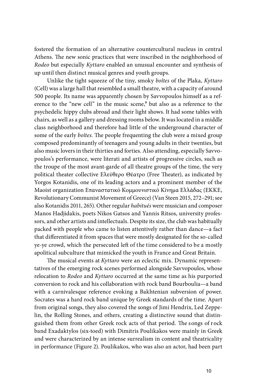fostered the formation of an alternative countercultural nucleus in central Athens. The new sonic practices that were inscribed in the neighborhood of *Rodeo* but especially *Kyttaro* enabled an unusual encounter and synthesis of up until then distinct musical genres and youth groups.

Unlike the tight squeeze of the tiny, smoky *boîtes* of the Plaka, *Kyttaro*  (Cell) was a large hall that resembled a small theatre, with a capacity of around 500 people. Its name was apparently chosen by Savvopoulos himself as a reference to the "new cell" in the music scene,<sup>8</sup> but also as a reference to the psychedelic hippy clubs abroad and their light shows. It had some tables with chairs, as well as a gallery and dressing rooms below. It was located in a middle class neighborhood and therefore had little of the underground character of some of the early *boîtes*. The people frequenting the club were a mixed group composed predominantly of teenagers and young adults in their twenties, but also music lovers in their thirties and forties. Also attending, especially Savvopoulos's performance, were literati and artists of progressive circles, such as the troupe of the most avant-garde of all theatre groups of the time, the very political theater collective Ελεύθερο Θέατρο (Free Theater), as indicated by Yorgos Kotanidis, one of its leading actors and a prominent member of the Maoist organization Επαναστατικό Κομμουνιστικό Κίνημα Ελλάδας (EKKE, Revolutionary Communist Movement of Greece) (Van Steen 2015, 272–291; see also Kotanidis 2011, 265). Other regular *habitués* were musician and composer Manos Hadjidakis, poets Nikos Gatsos and Yannis Ritsos, university professors, and other artists and intellectuals. Despite its size, the club was habitually packed with people who came to listen attentively rather than dance—a fact that differentiated it from spaces that were mostly designated for the so-called ye-ye crowd, which the persecuted left of the time considered to be a mostly apolitical subculture that mimicked the youth in France and Great Britain*.*

The musical events at *Kyttaro* were an eclectic mix. Dynamic representatives of the emerging rock scenes performed alongside Savvopoulos, whose relocation to *Rodeo* and *Kyttaro* occurred at the same time as his purported conversion to rock and his collaboration with rock band Bourboulia—a band with a carnivalesque reference evoking a Bakhtenian subversion of power. Socrates was a hard rock band unique by Greek standards of the time. Apart from original songs, they also covered the songs of Jimi Hendrix, Led Zeppelin, the Rolling Stones, and others, creating a distinctive sound that distinguished them from other Greek rock acts of that period. The songs of rock band Exadaktylos (six-toed) with Dimitris Poulikakos were mainly in Greek and were characterized by an intense surrealism in content and theatricality in performance (Figure 2). Poulikakos, who was also an actor, had been part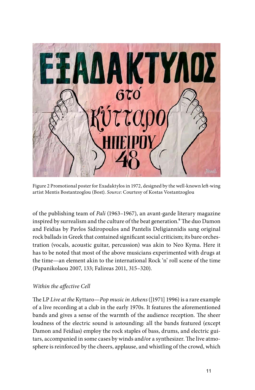

Figure 2 Promotional poster for Exadaktylos in 1972, designed by the well-known left-wing artist Mentis Bostantzoglou (Bost). *Source*: Courtesy of Kostas Vostantzoglou

of the publishing team of *Pali* (1963–1967), an avant-garde literary magazine inspired by surrealism and the culture of the beat generation.<sup>9</sup> The duo Damon and Feidias by Pavlos Sidiropoulos and Pantelis Deligiannidis sang original rock ballads in Greek that contained significant social criticism; its bare orchestration (vocals, acoustic guitar, percussion) was akin to Neo Kyma. Here it has to be noted that most of the above musicians experimented with drugs at the time—an element akin to the international Rock 'n' roll scene of the time (Papanikolaou 2007, 133; Falireas 2011, 315–320).

# *Within the affective Cell*

The LP *Live at the* Kyttaro*—Pop music in Athens* ([1971] 1996) is a rare example of a live recording at a club in the early 1970s. It features the aforementioned bands and gives a sense of the warmth of the audience reception. The sheer loudness of the electric sound is astounding: all the bands featured (except Damon and Feidias) employ the rock staples of bass, drums, and electric guitars, accompanied in some cases by winds and/or a synthesizer. The live atmosphere is reinforced by the cheers, applause, and whistling of the crowd, which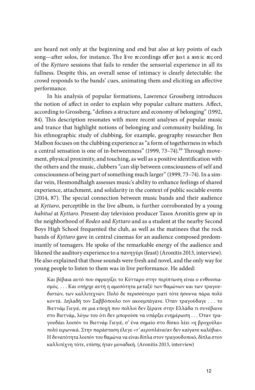are heard not only at the beginning and end but also at key points of each song—after solos, for instance. The live recordings offer just a son ic record of the *Kyttaro* sessions that fails to render the sensorial experience in all its fullness. Despite this, an overall sense of intimacy is clearly detectable: the crowd responds to the bands' cues, animating them and eliciting an affective performance.

In his analysis of popular formations, Lawrence Grossberg introduces the notion of affect in order to explain why popular culture matters. Affect, according to Grossberg, "defines a structure and economy of belonging" (1992, 84). This description resonates with more recent analyses of popular music and trance that highlight notions of belonging and community building. In his ethnographic study of clubbing, for example, geography researcher Ben Malbon focuses on the clubbing experience as "a form of togetherness in which a central sensation is one of in-betweenness" (1999, 73–74).<sup>10</sup> Through movement, physical proximity, and touching, as well as a positive identification with the others and the music, clubbers "can slip between consciousness of self and consciousness of being part of something much larger" (1999, 73–74). In a similar vein, Hesmondhalgh assesses music's ability to enhance feelings of shared experience, attachment, and solidarity in the context of public sociable events (2014, 87). The special connection between music bands and their audience at *Kyttaro*, perceptible in the live album, is further corroborated by a young *habitué* at *Kyttaro*. Present-day television producer Tasos Aronitis grew up in the neighborhood of *Rodeo* and *Kyttaro* and as a student at the nearby Second Boys High School frequented the club, as well as the matinees that the rock bands of *Kyttaro* gave in central cinemas for an audience composed predominantly of teenagers. He spoke of the remarkable energy of the audience and likened the auditory experience to a πανηγύρι (feast) (Aronitis 2013, interview). He also explained that those sounds were fresh and novel, and the only way for young people to listen to them was in live performance. He added:

Και βέβαια αυτό που σφραγίζει το Κύτταρο στην περίπτωση είναι ο ενθουσιασμός. . . . Και υπήρχε αυτή η αμεσότητα μεταξύ των θαμώνων και των τραγουδιστών, των καλλιτεχνών. Πολύ δε περισσότερο γιατί τότε ήσουνα πάρα πολύ κοντά. Δηλαδή τον Σαββόπουλο τον ακουμπάγανε. Όταν τραγούδαγε . . . το Βιετνάμ Γιεγιέ, σε μια εποχή που πολλοί δεν ξέρανε στην Ελλάδα τι συνέβαινε στο Βιετνάμ, λόγω του ότι δεν μπορούσε να υπάρξει ενημέρωση . . . Όταν τραγουδάει λοιπόν το Βιετνάμ Γιεγιέ, σ' ένα σημείο στο δίσκο λέει «η βροχούλα» πολύ ειρωνικά. Στην παράσταση έλεγε «*τ' αεροπλάνα*/αν δεν καίγανε καλύβια». Η δυνατότητα λοιπόν του θαμώνα να είναι δίπλα στον τραγουδοποιό, δίπλα στον καλλιτέχνη τότε, επίσης ήταν μοναδική. (Aronitis 2013, interview)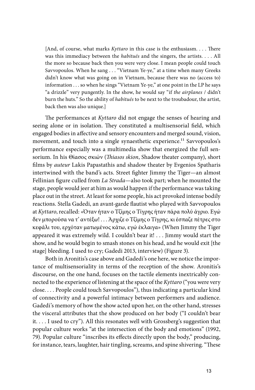[And, of course, what marks *Kyttaro* in this case is the enthusiasm. . . . There was this immediacy between the *habitués* and the singers, the artists. . . . All the more so because back then you were very close. I mean people could touch Savvopoulos. When he sang . . . "Vietnam Ye-ye," at a time when many Greeks didn't know what was going on in Vietnam, because there was no (access to) information . . . so when he sings "Vietnam Ye-ye," at one point in the LP he says "a drizzle" very pungently. In the show, he would say "if *the airplanes* / didn't burn the huts." So the ability of *habitués* to be next to the troubadour, the artist, back then was also unique.]

The performances at *Kyttaro* did not engage the senses of hearing and seeing alone or in isolation. They constituted a multisensorial field, which engaged bodies in affective and sensory encounters and merged sound, vision, movement, and touch into a single synaesthetic experience.<sup>11</sup> Savvopoulos's performance especially was a multimedia show that energized the full sensorium. In his Θίασος σκιών (*Thiasos skion*, Shadow theater company), short films by *auteur* Lakis Papastathis and shadow theater by Evgenios Spatharis intertwined with the band's acts. Street fighter Jimmy the Tiger—an almost Fellinian figure culled from *La Strada*—also took part; when he mounted the stage, people would jeer at him as would happen if the performance was taking place out in the street. At least for some people, his act provoked intense bodily reactions. Stella Gadedi, an avant-garde flautist who played with Savvopoulos at *Kyttaro*, recalled: «Όταν ήταν ο Τζίμης ο Τίγρης ήταν πάρα πολύ άγριο. Εγώ δεν μπορούσα να τ' αντέξω! . . . Άρχιζε ο Τζίμης ο Τίγρης, κι έσπαζε πέτρες στο κεφάλι του, ερχόταν ματωμένος κάτω, εγώ έκλαιγα» (When Jimmy the Tiger appeared it was extremely wild. I couldn't bear it! . . . Jimmy would start the show, and he would begin to smash stones on his head, and he would exit [the stage] bleeding. I used to cry; Gadedi 2013, interview) (Figure 3).

Both in Aronitis's case above and Gadedi's one here, we notice the importance of multisensoriality in terms of the reception of the show. Aronitis's discourse, on the one hand, focuses on the tactile elements inextricably connected to the experience of listening at the space of the *Kyttaro* ("you were very close. . . . People could touch Savvopoulos"), thus indicating a particular kind of connectivity and a powerful intimacy between performers and audience. Gadedi's memory of how the show acted upon her, on the other hand, stresses the visceral attributes that the show produced on her body ("I couldn't bear it. . . . I used to cry"). All this resonates well with Grossberg's suggestion that popular culture works "at the intersection of the body and emotions" (1992, 79). Popular culture "inscribes its effects directly upon the body," producing, for instance, tears, laughter, hair tingling, screams, and spine shivering. "These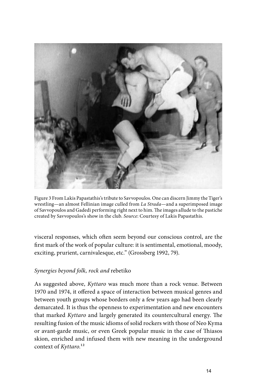

Figure 3 From Lakis Papastathis's tribute to Savvopoulos. One can discern Jimmy the Tiger's wrestling—an almost Fellinian image culled from *La Strada*—and a superimposed image of Savvopoulos and Gadedi performing right next to him. The images allude to the pastiche created by Savvopoulos's show in the club. *Source*: Courtesy of Lakis Papastathis.

visceral responses, which often seem beyond our conscious control, are the first mark of the work of popular culture: it is sentimental, emotional, moody, exciting, prurient, carnivalesque, etc." (Grossberg 1992, 79).

# *Synergies beyond folk, rock and* rebetiko

As suggested above, *Kyttaro* was much more than a rock venue. Between 1970 and 1974, it offered a space of interaction between musical genres and between youth groups whose borders only a few years ago had been clearly demarcated. It is thus the openness to experimentation and new encounters that marked *Kyttaro* and largely generated its countercultural energy. The resulting fusion of the music idioms of solid rockers with those of Neo Kyma or avant-garde music, or even Greek popular music in the case of Thiasos skion, enriched and infused them with new meaning in the underground context of *Kyttaro.*12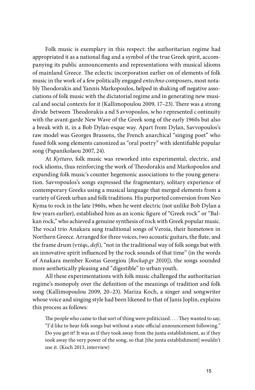Folk music is exemplary in this respect: the authoritarian regime had appropriated it as a national flag and a symbol of the true Greek spirit, accompanying its public announcements and representations with musical idioms of mainland Greece. The eclectic incorporation earlier on of elements of folk music in the work of a few politically engaged *entechno* composers, most notably Theodorakis and Yannis Markopoulos, helped in shaking off negative associations of folk music with the dictatorial regime and in generating new musical and social contexts for it (Kallimopoulou 2009, 17–23). There was a strong divide between Theodorakis a nd S avvopoulos, w ho r epresented c ontinuity with the avant-garde New Wave of the Greek song of the early 1960s but also a break with it, in a Bob Dylan-esque way. Apart from Dylan, Savvopoulos's raw model was Georges Brassens, the French anarchical "singing poet" who fused folk song elements canonized as "oral poetry" with identifiable popular song (Papanikolaou 2007, 24).

At *Kyttaro*, folk music was reworked into experimental, electric, and rock idioms, thus reinforcing the work of Theodorakis and Markopoulos and expanding folk music's counter hegemonic associations to the young generation. Savvopoulos's songs expressed the fragmentary, solitary experience of contemporary Greeks using a musical language that merged elements from a variety of Greek urban and folk traditions. His purported conversion from Νeo Κyma to rock in the late 1960s, when he went electric (not unlike Bob Dylan a few years earlier), established him as an iconic figure of "Greek rock" or "Balkan rock," who achieved a genuine synthesis of rock with Greek popular music. The vocal trio Anakara sang traditional songs of Veroia, their hometown in Northern Greece. Arranged for three voices, two acoustic guitars, the flute, and the frame drum (ντέφι, *defi*), "not in the traditional way of folk songs but with an innovative spirit influenced by the rock sounds of that time" (in the words of Anakara member Kostas Georgiou [*[Rockap.gr](http://www.Rockap.gr)* 2010]), the songs sounded more aesthetically pleasing and "digestible" to urban youth.

All these experimentations with folk music challenged the authoritarian regime's monopoly over the definition of the meanings of tradition and folk song (Kallimopoulou 2009, 20–23). Mariza Koch, a singer and songwriter whose voice and singing style had been likened to that of Janis Joplin, explains this process as follows:

The people who came to that sort of thing were politicized. . . . They wanted to say, "I'd like to hear folk songs but without a state official announcement following." Do you get it? It was as if they took away from the junta establishment, as if they took away the very power of the song, so that [the junta establishment] wouldn't use it. (Koch 2013, interview)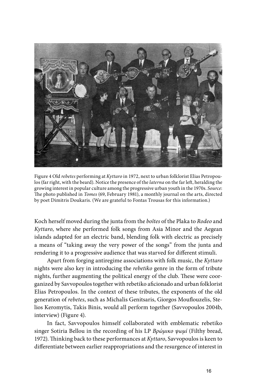

Figure 4 Old *rebetes* performing at *Kyttaro* in 1972, next to urban folklorist Elias Petropoulos (far right, with the beard). Notice the presence of the *laterna* on the far left, heralding the growing interest in popular culture among the progressive urban youth in the 1970s. *Source*: The photo published in *Tomes* (69, February 1981), a monthly journal on the arts, directed by poet Dimitris Doukaris. (We are grateful to Fontas Trousas for this information.)

Koch herself moved during the junta from the *boîtes* of the Plaka to *Rodeo* and *Kyttaro*, where she performed folk songs from Asia Minor and the Aegean islands adapted for an electric band, blending folk with electric as precisely a means of "taking away the very power of the songs" from the junta and rendering it to a progressive audience that was starved for different stimuli.

Apart from forging antiregime associations with folk music, the *Kyttaro* nights were also key in introducing the *rebetiko* genre in the form of tribute nights, further augmenting the political energy of the club. These were coorganized by Savvopoulos together with rebetiko aficionado and urban folklorist Elias Petropoulos. In the context of these tributes, the exponents of the old generation of *rebetes*, such as Michalis Genitsaris, Giorgos Mouflouzelis, Stelios Keromytis, Takis Binis, would all perform together (Savvopoulos 2004b, interview) (Figure 4).

In fact, Savvopoulos himself collaborated with emblematic rebetiko singer Sotiria Bellou in the recording of his LP *Βρώμικο ψωμί* (Filthy bread, 1972). Thinking back to these performances at *Kyttaro*, Savvopoulos is keen to differentiate between earlier reappropriations and the resurgence of interest in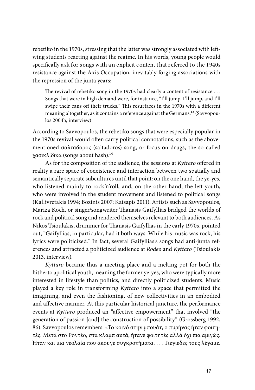rebetiko in the 1970s, stressing that the latter was strongly associated with leftwing students reacting against the regime. In his words, young people would specifically ask for songs w ith a n explicit content t hat referred to t he 1940s resistance against the Axis Occupation, inevitably forging associations with the repression of the junta years:

The revival of rebetiko song in the 1970s had clearly a content of resistance . . . Songs that were in high demand were, for instance, "I'll jump, I'll jump, and I'll swipe their cans off their trucks." This resurfaces in the 1970s with a different meaning altogether, as it contains a reference against the Germans.<sup>13</sup> (Savvopoulos 2004b, interview)

According to Savvopoulos, the rebetiko songs that were especially popular in the 1970s revival would often carry political connotations, such as the abovementioned σαλταδόρος (saltadoros) song, or focus on drugs, the so-called χασικλίδικα (songs about hash).14

As for the composition of the audience, the sessions at *Kyttaro* offered in reality a rare space of coexistence and interaction between two spatially and semantically separate subcultures until that point: on the one hand, the ye-yes*,* who listened mainly to rock'n'roll, and, on the other hand, the left youth, who were involved in the student movement and listened to political songs (Kallivretakis 1994; Bozinis 2007; Katsapis 2011). Artists such as Savvopoulos, Mariza Koch, or singer/songwriter Thanasis Gaifyllias bridged the worlds of rock and political song and rendered themselves relevant to both audiences. As Nikos Tsioulakis, drummer for Thanasis Gaifyllias in the early 1970s, pointed out, "Gaifyllias, in particular, had it both ways. While his music was rock, his lyrics were politicized." In fact, several Gaifyllias's songs had anti-junta references and attracted a politicized audience at *Rodeo* and *Kyttaro* (Tsioulakis 2013, interview).

*Kyttaro* became thus a meeting place and a melting pot for both the hitherto apolitical youth, meaning the former ye-yes, who were typically more interested in lifestyle than politics, and directly politicized students. Music played a key role in transforming *Kyttaro* into a space that permitted the imagining, and even the fashioning, of new collectivities in an embodied and affective manner. At this particular historical juncture, the performance events at *Kyttaro* produced an "affective empowerment" that involved "the generation of passion [and] the construction of possibility" (Grossberg 1992, 86). Savvopoulos remembers: «Το κοινό στην μπουάτ, ο πυρήνας ήταν φοιτητές. Mετά στο Ροντέο, στα κλαμπ αυτά, ήτανε φοιτητές αλλά όχι πια αμιγώς. Ήταν και μια νεολαία που άκουγε συγκροτήματα. . . . Γιεγιέδες τους λέγαμε.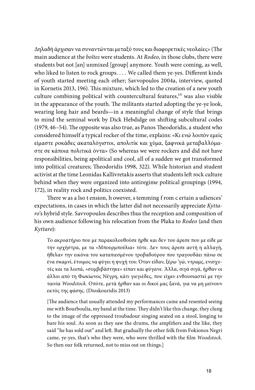Δηλαδή άρχισαν να συναντώνται μεταξύ τους και διαφορετικές νεολαίες» (The main audience at the *boîtes* were students. At *Rodeo*, in those clubs, there were students but not [an] unmixed [group] anymore. Youth were coming, as well, who liked to listen to rock groups. . . . We called them ye-yes. Different kinds of youth started meeting each other; Savvopoulos 2004a, interview, quoted in Kornetis 2013, 196). This mixture, which led to the creation of a new youth culture combining political with countercultural features,<sup>15</sup> was also visible in the appearance of the youth. The militants started adopting the ye-ye look, wearing long hair and beards—in a meaningful change of style that brings to mind the seminal work by Dick Hebdidge on shifting subcultural codes (1979, 46–54). The opposite was also true, as Panos Theodoridis, a student who considered himself a typical rocker of the time, explains: «Κι ενώ λοιπόν εμείς είμαστε ροκάδες ακαταλόγιστοι, απολιτίκ και χύμα, ξαφνικά μεταβαλλόμαστε σε κάποια πολιτικά όντα» (So whereas we were rockers and did not have responsibilities, being apolitical and cool, all of a sudden we got transformed into political creatures; Theodoridis 1998, 322). While historian and student activist at the time Leonidas Kallivretakis asserts that students left rock culture behind when they were organized into antiregime political groupings (1994, 172), in reality rock and politics coexisted.

There w as a lso t ension, h owever, s temming f rom c ertain a udiences' expectations, in cases in which the latter did not necessarily appreciate *Kyttaro*'s hybrid style. Savvopoulos describes thus the reception and composition of his own audience following his relocation from the Plaka to *Rodeo* (and then *Kyttaro*):

Το ακροατήριο που με παρακολουθούσε ήρθε και δεν του άρεσε που με είδε με την ορχήστρα, με τα «Μπουρμπούλια» τότε. Δεν τους άρεσε αυτή η αλλαγή, ήθελαν την εικόνα του καταπιεσμένου τροβαδούρου που τραγουδάει πάνω σε ένα σκαμνί, έτοιμος να φύγει η ψυχή του. Όταν είδαν, ξέρω 'γώ, ντραμς, ενισχυτές και τα λοιπά, «συμβιβάστηκε» είπαν και φύγανε. Άλλα, σιγά σιγά, ήρθαν οι άλλοι από τη Φωκίωνος Νέγρη, κάτι γιεγιέδες, που είχαν ενθουσιαστεί με την ταινία *Woodstock*. Οπότε, μετά ήρθαν και οι δικοί μας ξανά, για να μη μείνουν εκτός της φάσης. (Dioskouridis 2013)

[The audience that usually attended my performances came and resented seeing me with Bourboulia, my band at the time. They didn't like this change, they clung to the image of the oppressed troubadour singing seated on a stool, longing to bare his soul. As soon as they saw the drums, the amplifiers and the like, they said "he has sold out" and left. But gradually the other folk from Fokionos Negri came, ye-yes, that's who they were, who were thrilled with the film *Woodstock*. So then our folk returned, not to miss out on things.]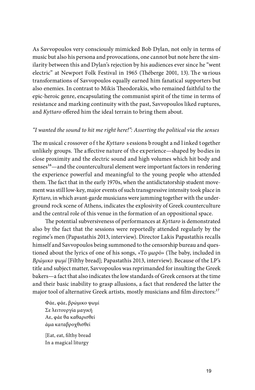As Savvopoulos very consciously mimicked Bob Dylan, not only in terms of music but also his persona and provocations, one cannot but note here the similarity between this and Dylan's rejection by his audiences ever since he "went electric" at Newport Folk Festival in 1965 (Théberge 2001, 13). The va rious transformations of Savvopoulos equally earned him fanatical supporters but also enemies. In contrast to Mikis Theodorakis, who remained faithful to the epic-heroic genre, encapsulating the communist spirit of the time in terms of resistance and marking continuity with the past, Savvopoulos liked ruptures, and *Kyttaro* offered him the ideal terrain to bring them about.

## *"I wanted the sound to hit me right here!": Asserting the political via the senses*

The m usical c rossover o f t he *Kyttaro* s essions b rought a nd l inked t ogether unlikely groups. The affective nature of the experience—shaped by bodies in close proximity and the electric sound and high volumes which hit body and senses<sup>16</sup>—and the countercultural element were important factors in rendering the experience powerful and meaningful to the young people who attended them. The fact that in the early 1970s, when the antidictatorship student movement was still low-key, major events of such transgressive intensity took place in *Kyttaro*, in which avant-garde musicians were jamming together with the underground rock scene of Athens, indicates the explosivity of Greek counterculture and the central role of this venue in the formation of an oppositional space.

The potential subversiveness of performances at *Kyttaro* is demonstrated also by the fact that the sessions were reportedly attended regularly by the regime's men (Papastathis 2013, interview). Director Lakis Papastathis recalls himself and Savvopoulos being summoned to the censorship bureau and questioned about the lyrics of one of his songs, «Το μωρό» (The baby, included in *Βρώμικο ψωμί* [Filthy bread]; Papastathis 2013, interview). Because of the LP's title and subject matter, Savvopoulos was reprimanded for insulting the Greek bakers—a fact that also indicates the low standards of Greek censors at the time and their basic inability to grasp allusions, a fact that rendered the latter the major tool of alternative Greek artists, mostly musicians and film directors:<sup>17</sup>

Φάε, φάε, βρώμικο ψωμί Σε λειτουργία μαγική Αε, φάε θα καθαρισθεί άμα καταβροχθισθεί

[Eat, eat, filthy bread In a magical liturgy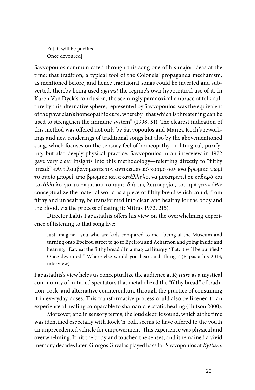Eat, it will be purified Once devoured]

Savvopoulos communicated through this song one of his major ideas at the time: that tradition, a typical tool of the Colonels' propaganda mechanism, as mentioned before, and hence traditional songs could be inverted and subverted, thereby being used *against* the regime's own hypocritical use of it. In Karen Van Dyck's conclusion, the seemingly paradoxical embrace of folk culture by this alternative sphere, represented by Savvopoulos, was the equivalent of the physician's homeopathic cure, whereby "that which is threatening can be used to strengthen the immune system" (1998, 51). The clearest indication of this method was offered not only by Savvopoulos and Mariza Koch's reworkings and new renderings of traditional songs but also by the abovementioned song, which focuses on the sensory feel of homeopathy—a liturgical, purifying, but also deeply physical practice. Savvopoulos in an interview in 1972 gave very clear insights into this methodology—referring directly to "filthy bread:" «Αντιλαμβανόμαστε τον αντικειμενικό κόσμο σαν ένα βρώμικο ψωμί το οποίο μπορεί, από βρώμικο και ακατάλληλο, να μετατραπεί σε καθαρό και κατάλληλο για το σώμα και το αίμα, διά της λειτουργίας του τρώγειν» (We conceptualize the material world as a piece of filthy bread which could, from filthy and unhealthy, be transformed into clean and healthy for the body and the blood, via the process of eating it; Mitras 1972, 215).

Director Lakis Papastathis offers his view on the overwhelming experience of listening to that song live:

Just imagine—you who are kids compared to me—being at the Museum and turning onto Epeirou street to go to Epeirou and Acharnon and going inside and hearing, "Eat, eat the filthy bread / In a magical liturgy / Eat, it will be purified / Once devoured." Where else would you hear such things? (Papastathis 2013, interview)

Papastathis's view helps us conceptualize the audience at *Kyttaro* as a mystical community of initiated spectators that metabolized the "filthy bread" of tradition, rock, and alternative counterculture through the practice of consuming it in everyday doses. This transformative process could also be likened to an experience of healing comparable to shamanic, ecstatic healing (Hutson 2000).

Moreover, and in sensory terms, the loud electric sound, which at the time was identified especially with Rock 'n' roll, seems to have offered to the youth an unprecedented vehicle for empowerment. This experience was physical and overwhelming. It hit the body and touched the senses, and it remained a vivid memory decades later. Giorgos Gavalas played bass for Savvopoulos at *Kyttaro*.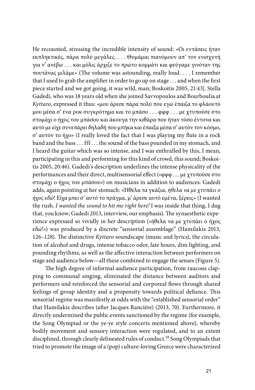He recounted, stressing the incredible intensity of sound: «Οι εντάσεις ήταν εκπληκτικές, πάρα πολύ μεγάλες. . . . Θυμάμαι πιανόμουν απ' τον ενισχυτή για ν' ανέβω . . . και μόλις άρχιζε το πρώτο κομμάτι και φεύγαμε γινόταν της πουτάνας μιλάμε» (The volume was astounding, really loud. . . . I remember that I used to grab the amplifier in order to go up on stage . . . and when the first piece started and we got going, it was wild, man; Boskoitis 2005, 21:43]. Stella Gadedi, who was 18 years old when she joined Savvopoulos and Bourboulia at *Kyttaro*, expressed it thus: «μου άρεσε πάρα πολύ που εγώ έπαιζα το φλάουτό μου μέσα σ' ένα ροκ συγκρότημα και το μπάσο . . . φφφ . . . με χτυπούσε στο στομάχι ο ήχος του μπάσου και άκουγα την κιθάρα που ήταν τόσο έντονα και αυτό με είχε συνεπάρει δηλαδή που μπήκα και έπαιξα μέσα σ' αυτόν τον κόσμο, σ' αυτόν το ήχο» (I really loved the fact that I was playing my flute in a rock band and the bass . . . fff . . . the sound of the bass pounded in my stomach, and I heard the guitar which was so intense, and I was enthralled by this, I mean, participating in this and performing for this kind of crowd, this sound; Boskoitis 2005, 20:46). Gadedi's description underlines the intense physicality of the performances and their direct, multisensorial effect («φφφ . . . με χτυπούσε στο στομάχι ο ήχος του μπάσου») on musicians in addition to audiences. Gadedi adds, again pointing at her stomach: «Ήθελα τα γκάζια, *ήθελα να με χτυπάει ο ήχος εδώ*! Είχα μπει σ' αυτό το πράγμα, μ' άρεσε αυτό εμένα, ξέρεις» (I wanted the rush. *I wanted the sound to hit me right here!* I was inside that thing, I dug that, you know; Gadedi 2013, interview, our emphasis). The synaesthetic experience expressed so vividly in her description («ήθελα να με χτυπάει ο ήχος εδώ!») was produced by a discrete "sensorial assemblage" (Hamilakis 2013, 126–128). The distinctive *Kyttaro* soundscape (music and lyrics), the circulation of alcohol and drugs, intense tobacco odor, late hours, dim lighting, and pounding rhythms, as well as the affective interaction between performers on stage and audience below—all these combined to engage the senses (Figure 5).

The high degree of informal audience participation, from raucous clapping to communal singing, eliminated the distance between auditors and performers and reinforced the sensorial and corporeal flows through shared feelings of group identity and a propensity towards political defiance. This sensorial regime was manifestly at odds with the "established sensorial order" that Hamilakis describes (after Jacques Rancière) (2013, 70). Furthermore, it directly undermined the public events sanctioned by the regime (for example, the Song Olympiad or the ye-ye style concerts mentioned above), whereby bodily movement and sensory interaction were regulated, and to an extent disciplined, through clearly delineated rules of conduct.<sup>18</sup> Song Olympiads that tried to promote the image of a (pop) culture-loving Greece were characterized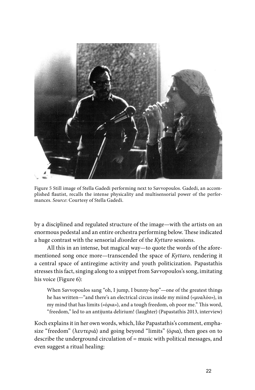

Figure 5 Still image of Stella Gadedi performing next to Savvopoulos. Gadedi, an accomplished flautist, recalls the intense physicality and multisensorial power of the performances. *Source*: Courtesy of Stella Gadedi.

by a disciplined and regulated structure of the image—with the artists on an enormous pedestal and an entire orchestra performing below. These indicated a huge contrast with the sensorial *dis*order of the *Kyttaro* sessions.

All this in an intense, but magical way—to quote the words of the aforementioned song once more—transcended the space of *Kyttaro*, rendering it a central space of antiregime activity and youth politicization. Papastathis stresses this fact, singing along to a snippet from Savvopoulos's song, imitating his voice (Figure 6):

When Savvopoulos sang "oh, I jump, I bunny-hop"—one of the greatest things he has written—"and there's an electrical circus inside my miind («μυαλόο»), in my mind that has limits («όρια»), and a tough freedom, oh poor me." This word, "freedom," led to an antijunta delirium! (laughter) (Papastathis 2013, interview)

Koch explains it in her own words, which, like Papastathis's comment, emphasize "freedom" (λευτεριά) and going beyond "limits" (όρια), then goes on to describe the underground circulation of = music with political messages, and even suggest a ritual healing: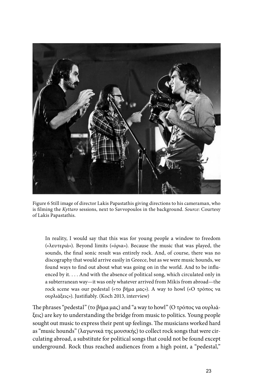

Figure 6 Still image of director Lakis Papastathis giving directions to his cameraman, who is filming the *Kyttaro* sessions, next to Savvopoulos in the background. *Source*: Courtesy of Lakis Papastathis.

In reality, I would say that this was for young people a window to freedom («λευτεριά»). Beyond limits («όρια»). Because the music that was played, the sounds, the final sonic result was entirely rock. And, of course, there was no discography that would arrive easily in Greece, but as we were music hounds, we found ways to find out about what was going on in the world. And to be influenced by it. . . . And with the absence of political song, which circulated only in a subterranean way—it was only whatever arrived from Mikis from abroad—the rock scene was our pedestal («το βήμα μας»). A way to howl («Ο τρόπος να ουρλιάξεις»). Justifiably. (Koch 2013, interview)

The phrases "pedestal" (το βήμα μας) and "a way to howl" (Ο τρόπος να ουρλιάξεις) are key to understanding the bridge from music to politics. Young people sought out music to express their pent up feelings. The musicians worked hard as "music hounds" (λαγωνικά της μουσικής) to collect rock songs that were circulating abroad, a substitute for political songs that could not be found except underground. Rock thus reached audiences from a high point, a "pedestal,"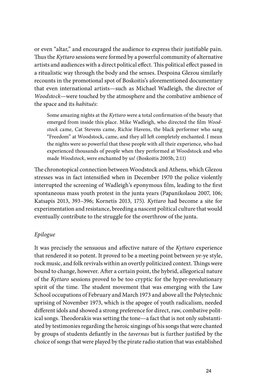or even "altar," and encouraged the audience to express their justifiable pain. Thus the *Kyttaro* sessions were formed by a powerful community of alternative artists and audiences with a direct political effect. This political effect passed in a ritualistic way through the body and the senses. Despoina Glezou similarly recounts in the promotional spot of Boskoitis's aforementioned documentary that even international artists—such as Michael Wadleigh, the director of *Woodstock*—were touched by the atmosphere and the combative ambience of the space and its *habitués*:

Some amazing nights at the *Kyttaro* were a total confirmation of the beauty that emerged from inside this place. Mike Wadleigh, who directed the film *Woodstock* came, Cat Stevens came, Richie Havens, the black performer who sang "Freedom" at Woodstock, came, and they all left completely enchanted. I mean the nights were so powerful that these people with all their experience, who had experienced thousands of people when they performed at Woodstock and who made *Woodstock*, were enchanted by us! (Boskoitis 2005b, 2:11)

The chronotopical connection between Woodstock and Athens, which Glezou stresses was in fact intensified when in December 1970 the police violently interrupted the screening of Wadleigh's eponymous film, leading to the first spontaneous mass youth protest in the junta years (Papanikolaou 2007, 106; Katsapis 2013, 393–396; Kornetis 2013, 175). *Kyttaro* had become a site for experimentation and resistance, breeding a nascent political culture that would eventually contribute to the struggle for the overthrow of the junta.

# *Epilogue*

It was precisely the sensuous and affective nature of the *Kyttaro* experience that rendered it so potent. It proved to be a meeting point between ye-ye style, rock music, and folk revivals within an overtly politicized context. Things were bound to change, however. After a certain point, the hybrid, allegorical nature of the *Kyttaro* sessions proved to be too cryptic for the hyper-revolutionary spirit of the time. The student movement that was emerging with the Law School occupations of February and March 1973 and above all the Polytechnic uprising of November 1973, which is the apogee of youth radicalism, needed different idols and showed a strong preference for direct, raw, combative political songs. Theodorakis was setting the tone—a fact that is not only substantiated by testimonies regarding the heroic singings of his songs that were chanted by groups of students defiantly in the *tavernas* but is further justified by the choice of songs that were played by the pirate radio station that was established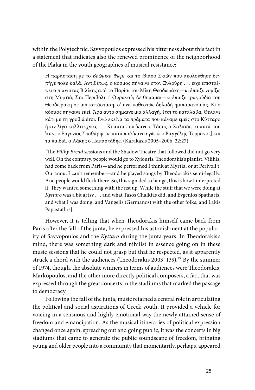within the Polytechnic. Savvopoulos expressed his bitterness about this fact in a statement that indicates also the renewed prominence of the neighborhood of the Plaka in the youth geographies of musical resistance:

Η παράσταση με το *Βρώμικο Ψωμί* και το Θίασο Σκιών που ακολούθησε δεν πήγε πολύ καλά. Αντιθέτως, ο κόσμος πήγαινε στον Ξυλούρη . . . είχε επιστρέψει ο πιανίστας Βιλίκης από το Παρίσι του Μίκη Θεοδωράκη—κι έπαιζε νομίζω στη Μυρτιά; Στο Περιβόλι τ' Ουρανού; Δε θυμάμαι—κι έπαιζε τραγούδια του Θεοδωράκη σε μια κατάσταση, σ' ένα καθεστώς δηλαδή ημιπαρανομίας. Κι ο κόσμος πήγαινε εκεί. Άρα αυτό σήμαινε μια αλλαγή, έτσι το κατάλαβα. Θέλανε κάτι με τη γροθιά έτσι. Ενώ εκείνα τα πράματα που κάναμε εμείς στο Κύτταρο ήταν λίγο καλλιτεχνίες . . . Κι αυτά πού 'κανε ο Τάσος ο Χαλκιάς, κι αυτά πού 'κανε ο Ευγένιος Σπαθάρης, κι αυτά πού 'κανα εγώ, κι ο Βαγγέλης [Γερμανός] και τα παιδιά, ο Λάκης ο Παπαστάθης. (Karakasis 2005–2006, 22:27)

[The *Filthy Bread* sessions and the Shadow Theatre that followed did not go very well. On the contrary, people would go to Xylouris. Theodorakis's pianist, Vilikis, had come back from Paris—and he performed I think at Myrtia, or at Perivoli t' Ouranou, I can't remember—and he played songs by Theodorakis semi-legally. And people would flock there. So, this signaled a change, this is how I interpreted it. They wanted something with the fist up. While the stuff that we were doing at *Kyttaro* was a bit artsy . . . and what Tasos Chalkias did, and Evgenios Spatharis, and what I was doing, and Vangelis (Germanos) with the other folks, and Lakis Papastathis].

However, it is telling that when Theodorakis himself came back from Paris after the fall of the junta, he expressed his astonishment at the popularity of Savvopoulos and the *Kyttaro* during the junta years. In Theodorakis's mind, there was something dark and nihilist in essence going on in these music sessions that he could not grasp but that he respected, as it apparently struck a chord with the audiences (Theodorakis 2003, 139).<sup>19</sup> By the summer of 1974, though, the absolute winners in terms of audiences were Theodorakis, Markopoulos, and the other more directly political composers, a fact that was expressed through the great concerts in the stadiums that marked the passage to democracy.

Following the fall of the junta, music retained a central role in articulating the political and social aspirations of Greek youth. It provided a vehicle for voicing in a sensuous and highly emotional way the newly attained sense of freedom and emancipation. As the musical itineraries of political expression changed once again, spreading out and going public, it was the concerts in big stadiums that came to generate the public soundscape of freedom, bringing young and older people into a community that momentarily, perhaps, appeared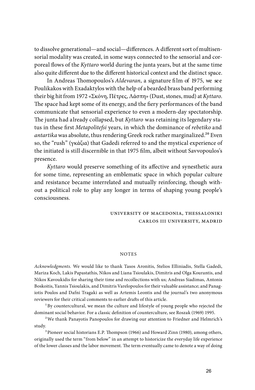to dissolve generational—and social—differences. A different sort of multisensorial modality was created, in some ways connected to the sensorial and corporeal flows of the *Kyttaro* world during the junta years, but at the same time also quite different due to the different historical context and the distinct space.

In Andreas Thomopoulos's *Aldevaran*, a signature film of 1975, we see Poulikakos with Exadaktylos with the help of a bearded brass band performing their big hit from 1972 «Σκόνη, Πέτρες, Λάσπη» (Dust, stones, mud) at *Kyttaro*. The space had kept some of its energy, and the fiery performances of the band communicate that sensorial experience to even a modern-day spectatorship. The junta had already collapsed, but *Kyttaro* was retaining its legendary status in these first *Metapolitefsi* years, in which the dominance of *rebetiko* and *antartika* was absolute, thus rendering Greek rock rather marginalized.20 Even so, the "rush" (γκάζια) that Gadedi referred to and the mystical experience of the initiated is still discernible in that 1975 film, albeit without Savvopoulos's presence.

*Kyttaro* would preserve something of its affective and synesthetic aura for some time, representing an emblematic space in which popular culture and resistance became interrelated and mutually reinforcing, though without a political role to play any longer in terms of shaping young people's consciousness.

# UNIVERSITY OF MACEDONIA, THESSALONIKI CARLOS III UNIVERSITY, MADRID

#### NOTES

*Acknowledgments.* We would like to thank Tasos Aronitis, Stelios Elliniadis, Stella Gadedi, Mariza Koch, Lakis Papastathis, Nikos and Liana Tsioulakis, Dimitris and Olga Kourantis, and Nikos Kavoukidis for sharing their time and recollections with us; Andreas Siadimas, Antonis Boskoitis, Yannis Tsioulakis, and Dimitris Varelopoulos for their valuable assistance; and Panagiotis Poulos and Dafni Tragaki as well as Artemis Leontis and the journal's two anonymous reviewers for their critical comments to earlier drafts of this article.

<sup>1</sup>By countercultural, we mean the culture and lifestyle of young people who rejected the dominant social behavior. For a classic definition of counterculture, see Roszak (1969) 1995.

2We thank Panayotis Panopoulos for drawing our attention to Friedner and Helmrich's study.

<sup>3</sup> Pioneer social historians E.P. Thompson (1966) and Howard Zinn (1980), among others, originally used the term "from below" in an attempt to historicize the everyday life experience of the lower classes and the labor movement. The term eventually came to denote a way of doing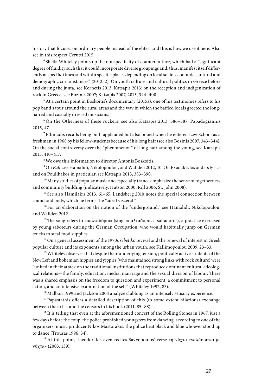history that focuses on ordinary people instead of the elites, and this is how we use it here. Also see in this respect Cerutti 2015.

4 Sheila Whiteley points up the nonspecificity of counterculture, which had a "significant degree of fluidity such that it could incorporate diverse groupings and, thus, manifest itself differently at specific times and within specific places depending on local socio-economic, cultural and demographic circumstances" (2012, 2). On youth culture and cultural politics in Greece before and during the junta, see Kornetis 2013; Katsapis 2013; on the reception and indigenization of rock in Greece, see Bozinis 2007; Katsapis 2007, 2013, 344–400.

5At a certain point in Boskoitis's documentary (2015a), one of his testimonies refers to his pop band's tour around the rural areas and the way in which the baffled locals greeted the longhaired and casually dressed musicians.

6On the Otherness of these rockers, see also Katsapis 2013, 386–387; Papadogiannis 2015, 47.

7Elliniadis recalls being both applauded but also booed when he entered Law School as a freshman in 1968 by his fellow-students because of his long hair (see also Bozinis 2007, 343–344). On the social controversy over the "phenomenon" of long hair among the young, see Katsapis 2013, 410–417.

8We owe this information to director Antonis Boskoitis.

9On *Pali*,see Hamalidi, Nikolopoulou, and Wallden 2012, 10. On Exadaktylos and its lyrics and on Poulikakos in particular, see Katsapis 2013, 383–390.

<sup>10</sup> Many studies of popular music and especially trance emphasize the sense of togetherness and community building (indicatively, Hutson 2000; Rill 2006; St. John 2008).

11 See also Hamilakis 2013, 61–65. Landsberg 2010 notes the special connection between sound and body, which he terms the "aural visceral."

<sup>12</sup> For an elaboration on the notion of the "underground," see Hamalidi, Nikolopoulou, and Wallden 2012.

<sup>13</sup>The song refers to «σαλταδόροι» (sing. «σαλταδόρος», saltadoros), a practice exercised by young saboteurs during the German Occupation, who would habitually jump on German trucks to steal food supplies.

14On a general assessment of the 1970s *rebetiko* revival and the renewal of interest in Greek popular culture and its exponents among the urban youth, see Kallimopoulou 2009, 23–33.

<sup>15</sup> Whiteley observes that despite their underlying tension, politically active students of the New Left and bohemian hippies and yippies (who maintained strong links with rock culture) were "united in their attack on the traditional institutions that reproduce dominant cultural-ideological relations—the family, education, media, marriage and the sexual division of labour. There was a shared emphasis on the freedom to question and experiment, a commitment to personal action, and an intensive examination of the self" (Whiteley 1992, 83).

<sup>16</sup> Malbon 1999 and Jackson 2004 analyze clubbing as an intensely sensory experience.

<sup>17</sup> Papastathis offers a detailed description of this (to some extent hilarious) exchange between the artist and the censors in his book (2011, 85–88).

<sup>18</sup> It is telling that even at the aforementioned concert of the Rolling Stones in 1967, just a few days before the coup, the police prohibited youngsters from dancing: according to one of the organizers, music producer Nikos Mastorakis, the police beat black and blue whoever stood up to dance (Trousas 1996, 34).

<sup>19</sup> At this point, Theodorakis even recites Savvopoulos' verse «η νύχτα εναλάσσεται με νύχτα» (2003, 139).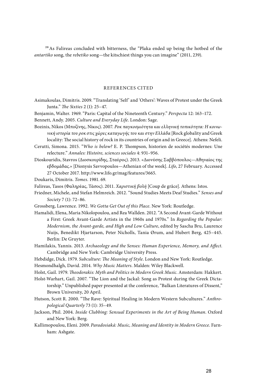20 As Falireas concluded with bitterness, the "Plaka ended up being the hotbed of the *antartiko* song, the *rebetiko* song—the kitschiest things you can imagine" (2011, 239).

#### REFERENCES CITED

- Asimakoulas, Dimitris. 2009. "Translating 'Self' and 'Others': Waves of Protest under the Greek Junta." *The Sixties* 2 (1): 25–47.
- Benjamin, Walter. 1969. "Paris: Capital of the Nineteenth Century." *Perspecta* 12: 163–172. Βennett, Andy. 2005. *Culture and Everyday Life*. London: Sage.
- Bozinis, Nikos (Μποζίνης, Νίκος). 2007. *Ροκ παγκοσμιότητα και ελληνική τοπικότητα: Η κοινωνική ιστορία του ροκ στις χώρες καταγωγής του και στην Ελλάδα* [Rock globality and Greek locality: The social history of rock in its countries of origin and in Greece]*.* Athens: Nefeli.

Cerutti, Simona. 2015. "*Who is below?* E. P. Thompson, historien de sociétés modernes: Une relecture." *Annales: Histoire, sciences sociales* 4: 931–956.

Dioskouridis, Stavros (Διοσκουρίδης, Σταύρος). 2013. «Διονύσης Σαββόπουλος—Αθηναίος της εβδομάδας.» [Dionysis Savvopoulos—Athenian of the week]. *Lifo*, 27 February. Accessed 27 October 2017. [http://www.lifo.gr/mag/features/3665.](http://www.lifo.gr/mag/features/3665)

Doukaris, Dimitris. *Tomes*. 1981. 69.

Falireas, Tasos (Φαληρέας, Τάσος). 2011. *Χαριστική βολή* [Coup de grâce]. Athens: Istos.

- Friedner, Michele, and Stefan Helmreich. 2012. "Sound Studies Meets Deaf Studies." *Senses and Society* 7 (1): 72–86.
- Grossberg, Lawrence. 1992. *We Gotta Get Out of this Place*. New York: Routledge.
- Hamalidi, Elena, Maria Nikolopoulou, and Rea Wallden. 2012. "A Second Avant-Garde Without a First: Greek Avant-Garde Artists in the 1960s and 1970s." In *Regarding the Popular: Modernism, the Avant-garde, and High and Low Culture*, edited by Sascha Bru, Laurence Nuijs, Benedikt Hjartarson, Peter Nicholls, Tania Ørum, and Hubert Berg, 425–445. Berlin: De Gruyter.
- Hamilakis, Yannis. 2013. *Archaeology and the Senses: Human Experience, Memory, and Affect*. Cambridge and New York: Cambridge University Press.
- Hebdidge, Dick. 1979. *Subculture: The Meaning of Style*. London and New York: Routledge. Hesmondhalgh, David. 2014. *Why Music Matters*. Malden: Wiley Blackwell.

Holst, Gail. 1979. *Theodorakis: Myth and Politics in Modern Greek Music*. Amsterdam: Hakkert.

Holst-Warhart, Gail. 2007. "The Lion and the Jackal: Song as Protest during the Greek Dictatorship." Unpublished paper presented at the conference, "Balkan Literatures of Dissent," Brown University, 20 April.

- Hutson, Scott R. 2000. "The Rave: Spiritual Healing in Modern Western Subcultures." *Anthropological Quarterly* 73 (1): 35–49.
- Jackson, Phil. 2004. *Inside Clubbing: Sensual Experiments in the Art of Being Human*. Oxford and New York: Berg.
- Kallimopoulou, Eleni. 2009. *Paradosiaká: Music, Meaning and Identity in Modern Greece*. Farnham: Ashgate.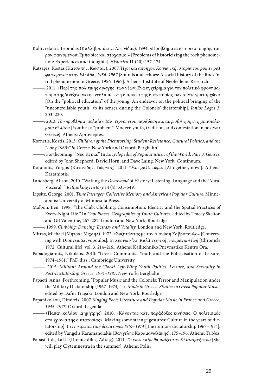- Kallivretakis, Leonidas (Καλλιβρετάκης, Λεωνίδας). 1994. «Προβλήματα ιστορικοποίησης του ροκ φαινομένου: Εμπειρίες και στοχασμοί» [Problems of historicizing the rock phenomenon: Experiences and thoughts]. *Historica* 11 (20): 157–174.
- Katsapis, Kostas (Κατσάπης, Κώστας). 2007. *Ήχοι και απόηχοι: Κοινωνική ιστορία του ροκ εν ρολ φαινομένου στην Ελλάδα*, *1956–1967* [Sounds and echoes: A social history of the Rock 'n' roll phenomenon in Greece, 1956–1967]. Athens: Institute of Neohellenic Research.
- –. 2011. «Περί της 'πολιτικής αγωγής' των νέων: Ένα εγχείρημα για τον πολιτικό φρονηματισμό της 'ανεξέλεγκτης νεολαίας' στη διάρκεια της δικτατορίας των συνταγματαρχών.» [On the "political education" of the young: An endeavor on the political bringing of the "uncontrollable youth" to its senses during the Colonels' dictatorship]. *Ionios Logos* 3: 203–220.
	- ———. 2013. *Το «πρόβλημα νεολαία»: Μοντέρνοι νέοι, παράδοση και αμφισβήτηση στη μεταπολεμική Ελλάδα* [Youth as a "problem": Modern youth, tradition, and contestation in postwar Greece]. Athens: Aprovleptes.
- Kornetis, Kostis. 2013**.** *Children of the Dictatorship: Student Resistance, Cultural Politics, and the "Long 1960s" in Greece*. New York and Oxford: Berghahn.
- ———. Forthcoming. "Neo Kyma." In *Encyclopedia of Popular Music of the World, Part 3: Genres*, edited by John Shepherd, David Horn, and Dave Laing. New York: Continuum.
- Kotanidis, Yorgos (Κοτανίδης, Γιώργος). 2011. *Όλοι μαζί, τώρα!* [Altogether, now!]. Athens: Kastaniotis.
- Landsberg, Alison. 2010. "Waking the *Deadwood* of History: Listening, Language and the 'Aural Visceral.'" *Rethinking History* 14 (4): 531–549.
- Lipsitz, George. 2001. *Time Passages: Collective Memory and American Popular Culture*. Minneapolis: University of Minnesota Press.
- Malbon, Ben. 1998. "The Club, Clubbing: Consumption, Identity and the Spatial Practices of Every-Night Life." In *Cool Places: Geographies of Youth Cultures*, edited by Tracey Skelton and Gil Valentine, 267–287. London and New York: Routledge.
- ———. 1999. *Clubbing: Dancing, Ecstasy and Vitality*. London and New York: Routledge.
- Mitras, Michael (Μήτρας Μιχαήλ). 1972. «Συζητώντας με τον Διονύση Σαββόπουλο» [Conversing with Dionysis Savvopoulos]. In *Χρονικό '72: Καλλιτεχνική πνευματική ζωή* [Chronicle 1972: Cultural life], vol. 3, 214–216.*.* Athens: Kallitehniko Pnevmatiko Kentro Ora.
- Papadogiannis, Nikolaos. 2010. "Greek Communist Youth and the Politicisation of Leisure, 1974–1981." PhD diss., Cambridge University.
	- ———. 2015. *Militant Around the Clock? Left-Wing Youth Politics, Leisure, and Sexuality in Post-Dictatorship Greece, 1974–1981*. New York: Berghahn.

Papaeti, Anna. Forthcoming. "Popular Music and the Colonels: Terror and Manipulation under the Military Dictatorship (1967–1974)." In *Made in Greece: Studies in Greek Popular Music*, edited by Dafni Tragaki. London and New York: Routledge.

- Papanikolaou, Dimitris. 2007. *Singing Poets Literature and Popular Music in France and Greece, 1945–1975*. Oxford: Legenda.
	- (Παπανικολάου, Δημήτρης). 2010. «Κάνοντας κάτι παράδοξες κινήσεις: Ο πολιτισμός στα χρόνια της δικτατορίας» [Making some strange gestures: Culture in the years of dictatorship]. In *Η στρατιωτική δικτατορία 1967–1974* [The military dictatorship 1967–1974], edited by Vangelis Karamanolakis (Βαγγέλης Καραμανωλάκης), 175–196. Athens: Ta Nea.
- Papastathis, Lakis (Παπαστάθης, Λάκης). 2011. *Το καλοκαίρι θα παίξει την Κλυταιμνήστρα* [She will play Clytemnestra in the summer]. Athens: Polis.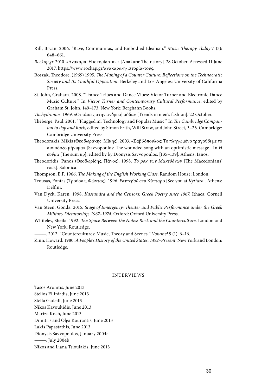- Rill, Bryan. 2006. "Rave, Communitas, and Embodied Idealism." *Music Therapy Today* 7 (3): 648–661.
- *[Rockap.gr](http://www.Rockap.gr)*. 2010. «Ανάκαρα: Η ιστορία τους» [Anakara: Their story]. 28 October. Accessed 11 June 2017. <https://www.rockap.gr/ανάκαρα-η-ιστορία-τους>.
- Roszak, Theodore. (1969) 1995. *The Making of a Counter Culture: Reflections on the Technocratic Society and Its Youthful Opposition*. Berkeley and Los Angeles: University of California Press.
- St. John, Graham. 2008. "Trance Tribes and Dance Vibes: Victor Turner and Electronic Dance Music Culture." In *Victor Turner and Contemporary Cultural Performance*, edited by Graham St. John, 149–173. New York: Berghahn Books.
- *Tachydromos*. 1969. «Οι τάσεις στην ανδρική μόδα» [Trends in men's fashion]. 22 October.
- Théberge, Paul. 2001. "'Plugged in': Technology and Popular Music." In *The Cambridge Companion to Pop and Rock*, edited by Simon Frith, Will Straw, and John Street, 3–26. Cambridge: Cambridge University Press.
- Theodorakis, Mikis (Θεοδωράκης, Μίκης). 2003. «Σαββόπουλος: Το πληγωμένο τραγούδι με το αισιόδοξο μήνυμα» [Savvopoulos: The wounded song with an optimistic message]. In *Η σούμα* [The sum up], edited by by Dionysis Savvopoulos, [135–139]. Athens: Ianos.
- Theodoridis, Panos (Θεοδωρίδης, Πάνος). 1998. *Το ροκ των Μακεδόνων* [The Macedonians' rock]. Salonica.

Thompson, E.P. 1966. *The Making of the English Working Class*. Random House: London.

- Trousas, Fontas (Τρούσας, Φώντας). 1996. *Ραντεβού στο* Κύτταρο [See you at *Kyttaro*]. Athens: Delfini.
- Van Dyck, Karen. 1998. *Kassandra and the Censors: Greek Poetry since 1967*. Ithaca: Cornell University Press.
- Van Steen, Gonda. 2015. *Stage of Emergency: Theater and Public Performance under the Greek Military Dictatorship, 1967*–*1974*. Oxford: Oxford University Press.
- Whiteley, Sheila. 1992. *The Space Between the Notes: Rock and the Counterculture*. London and New York: Routledge.
	- ———. 2012. "Countercultures: Music, Theory and Scenes." *Volume!* 9 (1): 6–16.
- Zinn, Howard. 1980. *A People's History of the United States, 1492–Present*. New York and London: Routledge.

### INTERVIEWS

Tasos Aronitis, June 2013 Stelios Elliniadis, June 2013 Stella Gadedi, June 2013 Nikos Kavoukidis, June 2013 Mariza Koch, June 2013 Dimitris and Olga Kourantis, June 2013 Lakis Papastathis, June 2013 Dionysis Savvopoulos, January 2004a ———, July 2004b Nikos and Liana Tsioulakis, June 2013